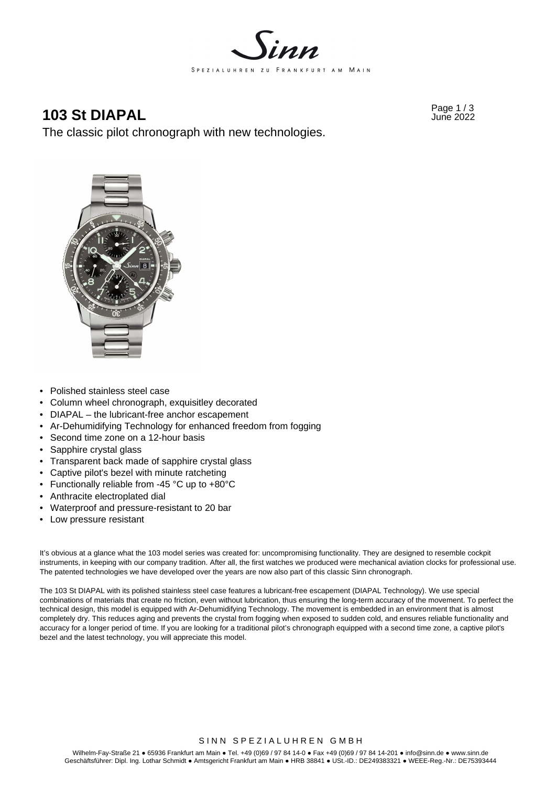

## **103 St DIAPAL** Page 1/3 June 2022

The classic pilot chronograph with new technologies.



- Polished stainless steel case
- Column wheel chronograph, exquisitley decorated
- DIAPAL the lubricant-free anchor escapement
- Ar-Dehumidifying Technology for enhanced freedom from fogging
- Second time zone on a 12-hour basis
- Sapphire crystal glass
- Transparent back made of sapphire crystal glass
- Captive pilot's bezel with minute ratcheting
- Functionally reliable from -45 °C up to +80°C
- Anthracite electroplated dial
- Waterproof and pressure-resistant to 20 bar
- Low pressure resistant

It's obvious at a glance what the 103 model series was created for: uncompromising functionality. They are designed to resemble cockpit instruments, in keeping with our company tradition. After all, the first watches we produced were mechanical aviation clocks for professional use. The patented technologies we have developed over the years are now also part of this classic Sinn chronograph.

The 103 St DIAPAL with its polished stainless steel case features a lubricant-free escapement (DIAPAL Technology). We use special combinations of materials that create no friction, even without lubrication, thus ensuring the long-term accuracy of the movement. To perfect the technical design, this model is equipped with Ar-Dehumidifying Technology. The movement is embedded in an environment that is almost completely dry. This reduces aging and prevents the crystal from fogging when exposed to sudden cold, and ensures reliable functionality and accuracy for a longer period of time. If you are looking for a traditional pilot's chronograph equipped with a second time zone, a captive pilot's bezel and the latest technology, you will appreciate this model.

## SINN SPEZIALUHREN GMBH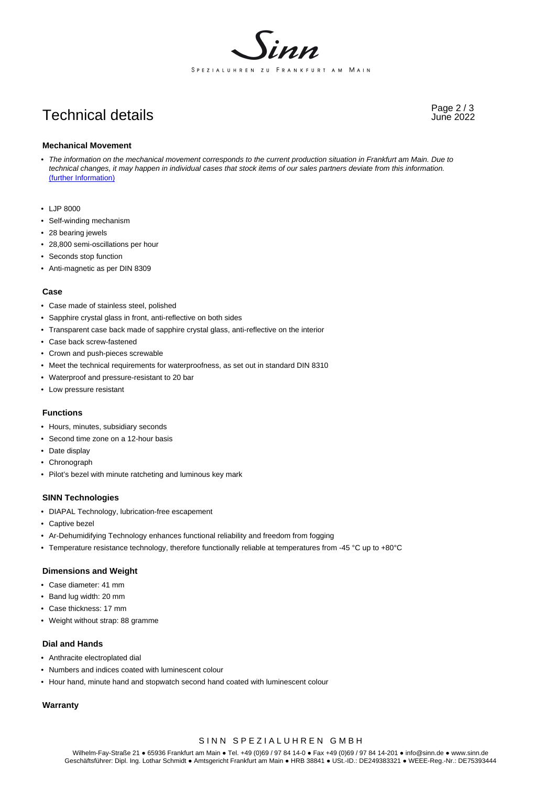

# Page 2 / 3 Technical details June 2022

#### **Mechanical Movement**

- *The information on the mechanical movement corresponds to the current production situation in Frankfurt am Main. Due to technical changes, it may happen in individual cases that stock items of our sales partners deviate from this information.*  (further Information)
- LJP 8000
- Self-winding mechanism
- 28 bearing jewels
- 28,800 semi-oscillations per hour
- Seconds stop function
- Anti-magnetic as per DIN 8309

#### **Case**

- Case made of stainless steel, polished
- Sapphire crystal glass in front, anti-reflective on both sides
- Transparent case back made of sapphire crystal glass, anti-reflective on the interior
- Case back screw-fastened
- Crown and push-pieces screwable
- Meet the technical requirements for waterproofness, as set out in standard DIN 8310
- Waterproof and pressure-resistant to 20 bar
- Low pressure resistant

#### **Functions**

- Hours, minutes, subsidiary seconds
- Second time zone on a 12-hour basis
- Date display
- Chronograph
- Pilot's bezel with minute ratcheting and luminous key mark

#### **SINN Technologies**

- DIAPAL Technology, lubrication-free escapement
- Captive bezel
- Ar-Dehumidifying Technology enhances functional reliability and freedom from fogging
- Temperature resistance technology, therefore functionally reliable at temperatures from -45 °C up to +80°C

#### **Dimensions and Weight**

- Case diameter: 41 mm
- Band lug width: 20 mm
- Case thickness: 17 mm
- Weight without strap: 88 gramme

#### **Dial and Hands**

- Anthracite electroplated dial
- Numbers and indices coated with luminescent colour
- Hour hand, minute hand and stopwatch second hand coated with luminescent colour

## **Warranty**

## SINN SPEZIALUHREN GMBH